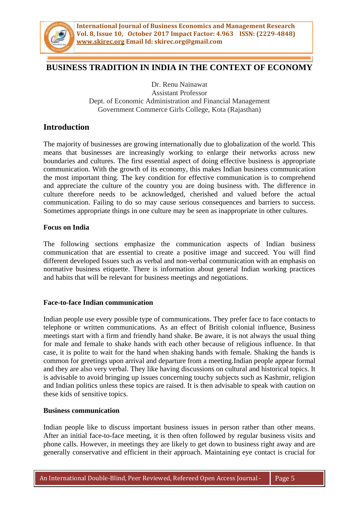

# **BUSINESS TRADITION IN INDIA IN THE CONTEXT OF ECONOMY**

Dr. Renu Nainawat Assistant Professor Dept. of Economic Administration and Financial Management Government Commerce Girls College, Kota (Rajasthan)

# **Introduction**

The majority of businesses are growing internationally due to globalization of the world. This means that businesses are increasingly working to enlarge their networks across new boundaries and cultures. The first essential aspect of doing effective business is appropriate communication. With the growth of its economy, this makes Indian business communication the most important thing. The key condition for effective communication is to comprehend and appreciate the culture of the country you are doing business with. The difference in culture therefore needs to be acknowledged, cherished and valued before the actual communication. Failing to do so may cause serious consequences and barriers to success. Sometimes appropriate things in one culture may be seen as inappropriate in other cultures.

#### **Focus on India**

The following sections emphasize the communication aspects of Indian business communication that are essential to create a positive image and succeed. You will find different developed Issues such as verbal and non-verbal communication with an emphasis on normative business etiquette. There is information about general Indian working practices and habits that will be relevant for business meetings and negotiations.

## **Face-to-face Indian communication**

Indian people use every possible type of communications. They prefer face to face contacts to telephone or written communications. As an effect of British colonial influence, Business meetings start with a firm and friendly hand shake. Be aware, it is not always the usual thing for male and female to shake hands with each other because of religious influence. In that case, it is polite to wait for the hand when shaking hands with female. Shaking the hands is common for greetings upon arrival and departure from a meeting.Indian people appear formal and they are also very verbal. They like having discussions on cultural and historical topics. It is advisable to avoid bringing up issues concerning touchy subjects such as Kashmir, religion and Indian politics unless these topics are raised. It is then advisable to speak with caution on these kids of sensitive topics.

#### **Business communication**

 $\mathcal{I}(\mathcal{I})$  in the Indexing Directories  $\mathcal{I}(\mathcal{I})$ 

Indian people like to discuss important business issues in person rather than other means. After an initial face-to-face meeting, it is then often followed by regular business visits and phone calls. However, in meetings they are likely to get down to business right away and are generally conservative and efficient in their approach. Maintaining eye contact is crucial for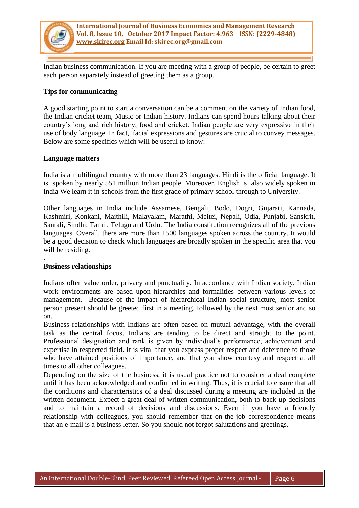

Indian business communication. If you are meeting with a group of people, be certain to greet each person separately instead of greeting them as a group.

### **Tips for communicating**

A good starting point to start a conversation can be a comment on the variety of Indian food, the Indian cricket team, Music or Indian history. Indians can spend hours talking about their country"s long and rich history, food and cricket. Indian people are very expressive in their use of body language. In fact, facial expressions and gestures are crucial to convey messages. Below are some specifics which will be useful to know:

#### **Language matters**

India is a multilingual country with more than 23 languages. Hindi is the official language. It is spoken by nearly 551 million Indian people. Moreover, English is also widely spoken in India We learn it in schools from the first grade of primary school through to University.

Other languages in India include Assamese, Bengali, Bodo, Dogri, Gujarati, Kannada, Kashmiri, Konkani, Maithili, Malayalam, Marathi, Meitei, Nepali, Odia, Punjabi, Sanskrit, Santali, Sindhi, Tamil, Telugu and Urdu. The India constitution recognizes all of the previous languages. Overall, there are more than 1500 languages spoken across the country. It would be a good decision to check which languages are broadly spoken in the specific area that you will be residing.

#### **Business relationships**

.

Indians often value order, privacy and punctuality. In accordance with Indian society, Indian work environments are based upon hierarchies and formalities between various levels of management. Because of the impact of hierarchical Indian social structure, most senior person present should be greeted first in a meeting, followed by the next most senior and so on.

Business relationships with Indians are often based on mutual advantage, with the overall task as the central focus. Indians are tending to be direct and straight to the point. Professional designation and rank is given by individual"s performance, achievement and expertise in respected field. It is vital that you express proper respect and deference to those who have attained positions of importance, and that you show courtesy and respect at all times to all other colleagues.

Depending on the size of the business, it is usual practice not to consider a deal complete until it has been acknowledged and confirmed in writing. Thus, it is crucial to ensure that all the conditions and characteristics of a deal discussed during a meeting are included in the written document. Expect a great deal of written communication, both to back up decisions and to maintain a record of decisions and discussions. Even if you have a friendly relationship with colleagues, you should remember that on-the-job correspondence means that an e-mail is a business letter. So you should not forgot salutations and greetings.

 $\mathcal{I}(\mathcal{I})$  in the Indexing Directories  $\mathcal{I}(\mathcal{I})$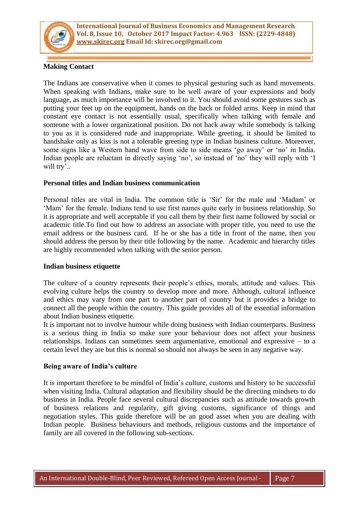

# **Making Contact**

The Indians are conservative when it comes to physical gesturing such as hand movements. When speaking with Indians, make sure to be well aware of your expressions and body language, as much importance will be involved to it. You should avoid some gestures such as putting your feet up on the equipment, hands on the back or folded arms. Keep in mind that constant eye contact is not essentially usual, specifically when talking with female and someone with a lower organizational position. Do not back away while somebody is talking to you as it is considered rude and inappropriate. While greeting, it should be limited to handshake only as kiss is not a tolerable greeting type in Indian business culture. Moreover, some signs like a Western hand wave from side to side means "go away" or "no" in India. Indian people are reluctant in directly saying 'no', so instead of 'no' they will reply with 'I will try'..

#### **Personal titles and Indian business communication**

Personal titles are vital in India. The common title is 'Sir' for the male and 'Madam' or "Mam" for the female. Indians tend to use first names quite early in business relationship. So it is appropriate and well acceptable if you call them by their first name followed by social or academic title.To find out how to address an associate with proper title, you need to use the email address or the business card. If he or she has a title in front of the name, then you should address the person by their title following by the name. Academic and hierarchy titles are highly recommended when talking with the senior person.

#### **Indian business etiquette**

The culture of a country represents their people's ethics, morals, attitude and values. This evolving culture helps the country to develop more and more. Although, cultural influence and ethics may vary from one part to another part of country but it provides a bridge to connect all the people within the country. This guide provides all of the essential information about Indian business etiquette.

It is important not to involve humour while doing business with Indian counterparts. Business is a serious thing in India so make sure your behaviour does not affect your business relationships. Indians can sometimes seem argumentative, emotional and expressive – to a certain level they are but this is normal so should not always be seen in any negative way.

#### **Being aware of India's culture**

 $\mathcal{I}(\mathcal{I})$  in the Indexing Directories  $\mathcal{I}(\mathcal{I})$ 

It is important therefore to be mindful of India"s culture, customs and history to be successful when visiting India. Cultural adaptation and flexibility should be the directing mindsets to do business in India. People face several cultural discrepancies such as attitude towards growth of business relations and regularity, gift giving customs, significance of things and negotiation styles. This guide therefore will be an good asset when you are dealing with Indian people. Business behaviours and methods, religious customs and the importance of family are all covered in the following sub-sections.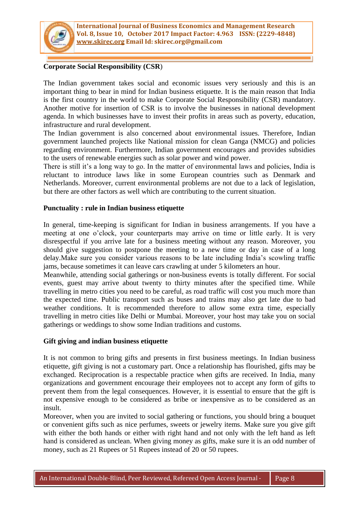

# **Corporate Social Responsibility (CSR**)

The Indian government takes social and economic issues very seriously and this is an important thing to bear in mind for Indian business etiquette. It is the main reason that India is the first country in the world to make Corporate Social Responsibility (CSR) mandatory. Another motive for insertion of CSR is to involve the businesses in national development agenda. In which businesses have to invest their profits in areas such as poverty, education, infrastructure and rural development.

The Indian government is also concerned about environmental issues. Therefore, Indian government launched projects like National mission for clean Ganga (NMCG) and policies regarding environment. Furthermore, Indian government encourages and provides subsidies to the users of renewable energies such as solar power and wind power.

There is still it's a long way to go. In the matter of environmental laws and policies, India is reluctant to introduce laws like in some European countries such as Denmark and Netherlands. Moreover, current environmental problems are not due to a lack of legislation, but there are other factors as well which are contributing to the current situation.

#### **Punctuality : rule in Indian business etiquette**

In general, time-keeping is significant for Indian in business arrangements. If you have a meeting at one o'clock, your counterparts may arrive on time or little early. It is very disrespectful if you arrive late for a business meeting without any reason. Moreover, you should give suggestion to postpone the meeting to a new time or day in case of a long delay.Make sure you consider various reasons to be late including India"s scowling traffic jams, because sometimes it can leave cars crawling at under 5 kilometers an hour.

Meanwhile, attending social gatherings or non-business events is totally different. For social events, guest may arrive about twenty to thirty minutes after the specified time. While travelling in metro cities you need to be careful, as road traffic will cost you much more than the expected time. Public transport such as buses and trains may also get late due to bad weather conditions. It is recommended therefore to allow some extra time, especially travelling in metro cities like Delhi or Mumbai. Moreover, your host may take you on social gatherings or weddings to show some Indian traditions and customs.

## **Gift giving and indian business etiquette**

 $\mathcal{I}(\mathcal{I})$  in the Indexing Directories  $\mathcal{I}(\mathcal{I})$ 

It is not common to bring gifts and presents in first business meetings. In Indian business etiquette, gift giving is not a customary part. Once a relationship has flourished, gifts may be exchanged. Reciprocation is a respectable practice when gifts are received. In India, many organizations and government encourage their employees not to accept any form of gifts to prevent them from the legal consequences. However, it is essential to ensure that the gift is not expensive enough to be considered as bribe or inexpensive as to be considered as an insult.

Moreover, when you are invited to social gathering or functions, you should bring a bouquet or convenient gifts such as nice perfumes, sweets or jewelry items. Make sure you give gift with either the both hands or either with right hand and not only with the left hand as left hand is considered as unclean. When giving money as gifts, make sure it is an odd number of money, such as 21 Rupees or 51 Rupees instead of 20 or 50 rupees.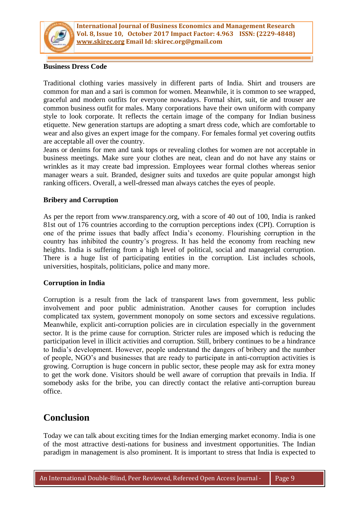

## **Business Dress Code**

Traditional clothing varies massively in different parts of India. Shirt and trousers are common for man and a sari is common for women. Meanwhile, it is common to see wrapped, graceful and modern outfits for everyone nowadays. Formal shirt, suit, tie and trouser are common business outfit for males. Many corporations have their own uniform with company style to look corporate. It reflects the certain image of the company for Indian business etiquette. New generation startups are adopting a smart dress code, which are comfortable to wear and also gives an expert image for the company. For females formal yet covering outfits are acceptable all over the country.

Jeans or denims for men and tank tops or revealing clothes for women are not acceptable in business meetings. Make sure your clothes are neat, clean and do not have any stains or wrinkles as it may create bad impression. Employees wear formal clothes whereas senior manager wears a suit. Branded, designer suits and tuxedos are quite popular amongst high ranking officers. Overall, a well-dressed man always catches the eyes of people.

## **Bribery and Corruption**

As per the report from www.transparency.org, with a score of 40 out of 100, India is ranked 81st out of 176 countries according to the corruption perceptions index (CPI). Corruption is one of the prime issues that badly affect India"s economy. Flourishing corruption in the country has inhibited the country"s progress. It has held the economy from reaching new heights. India is suffering from a high level of political, social and managerial corruption. There is a huge list of participating entities in the corruption. List includes schools, universities, hospitals, politicians, police and many more.

## **Corruption in India**

Corruption is a result from the lack of transparent laws from government, less public involvement and poor public administration. Another causes for corruption includes complicated tax system, government monopoly on some sectors and excessive regulations. Meanwhile, explicit anti-corruption policies are in circulation especially in the government sector. It is the prime cause for corruption. Stricter rules are imposed which is reducing the participation level in illicit activities and corruption. Still, bribery continues to be a hindrance to India"s development. However, people understand the dangers of bribery and the number of people, NGO"s and businesses that are ready to participate in anti-corruption activities is growing. Corruption is huge concern in public sector, these people may ask for extra money to get the work done. Visitors should be well aware of corruption that prevails in India. If somebody asks for the bribe, you can directly contact the relative anti-corruption bureau office.

# **Conclusion**

 $\mathcal{I}(\mathcal{I})$  in the Indexing Directories  $\mathcal{I}(\mathcal{I})$ 

Today we can talk about exciting times for the Indian emerging market economy. India is one of the most attractive desti-nations for business and investment opportunities. The Indian paradigm in management is also prominent. It is important to stress that India is expected to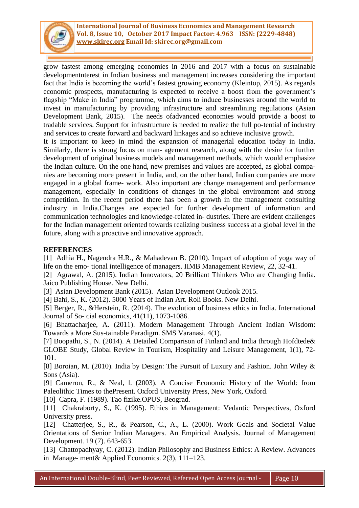

grow fastest among emerging economies in 2016 and 2017 with a focus on sustainable developmentnterest in Indian business and management increases considering the important fact that India is becoming the world"s fastest growing economy (Kleintop, 2015). As regards economic prospects, manufacturing is expected to receive a boost from the government's flagship "Make in India" programme, which aims to induce businesses around the world to invest in manufacturing by providing infrastructure and streamlining regulations (Asian Development Bank, 2015). The needs ofadvanced economies would provide a boost to tradable services. Support for infrastructure is needed to realize the full po-tential of industry and services to create forward and backward linkages and so achieve inclusive growth.

It is important to keep in mind the expansion of managerial education today in India. Similarly, there is strong focus on man- agement research, along with the desire for further development of original business models and management methods, which would emphasize the Indian culture. On the one hand, new premises and values are accepted, as global companies are becoming more present in India, and, on the other hand, Indian companies are more engaged in a global frame- work. Also important are change management and performance management, especially in conditions of changes in the global environment and strong competition. In the recent period there has been a growth in the management consulting industry in India.Changes are expected for further development of information and communication technologies and knowledge-related in- dustries. There are evident challenges for the Indian management oriented towards realizing business success at a global level in the future, along with a proactive and innovative approach.

# **REFERENCES**

[1] Adhia H., Nagendra H.R., & Mahadevan B. (2010). Impact of adoption of yoga way of life on the emo- tional intelligence of managers. IIMB Management Review, 22, 32-41.

[2] Agrawal, A. (2015). Indian Innovators, 20 Brilliant Thinkers Who are Changing India. Jaico Publishing House. New Delhi.

[3] Asian Development Bank (2015). Asian Development Outlook 2015.

[4] Bahi, S., K. (2012). 5000 Years of Indian Art. Roli Books. New Delhi.

[5] Berger, R., &Herstein, R. (2014). The evolution of business ethics in India. International Journal of So- cial economics, 41(11), 1073-1086.

[6] Bhattacharjee, A. (2011). Modern Management Through Ancient Indian Wisdom: Towards a More Sus-tainable Paradigm. SMS Varanasi. 4(1).

[7] Boopathi, S., N. (2014). A Detailed Comparison of Finland and India through Hofdtede& GLOBE Study, Global Review in Tourism, Hospitality and Leisure Management, 1(1), 72- 101.

[8] Boroian, M. (2010). India by Design: The Pursuit of Luxury and Fashion. John Wiley & Sons (Asia).

[9] Cameron, R., & Neal, l. (2003). A Concise Economic History of the World: from Paleolithic Times to thePresent. Oxford University Press, New York, Oxford.

[10] Capra, F. (1989). Tao fizike.OPUS, Beograd.

[11] Chakraborty, S., K. (1995). Ethics in Management: Vedantic Perspectives, Oxford University press.

[12] Chatterjee, S., R., & Pearson, C., A., L. (2000). Work Goals and Societal Value Orientations of Senior Indian Managers. An Empirical Analysis. Journal of Management Development. 19 (7). 643-653.

[13] Chattopadhyay, C. (2012). Indian Philosophy and Business Ethics: A Review. Advances in Manage- ment& Applied Economics. 2(3), 111–123.